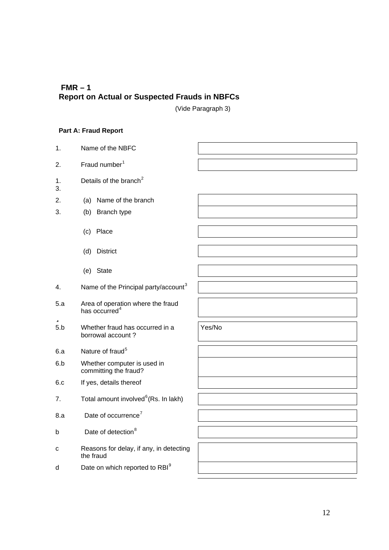# **FMR – 1 Report on Actual or Suspected Frauds in NBFCs**

(Vide Paragraph 3)

# **Part A: Fraud Report**

1. Name of the NBFC 2. Fraud number<sup>1</sup> 1. 3. Details of the branch $2$ 2. (a) Name of the branch 3. (b) Branch type (c) Place (d) District (e) State 4. Name of the Principal party/account<sup>3</sup> 5.a Area of operation where the fraud has occurred<sup>4</sup>  $5.b$ Whether fraud has occurred in a borrowal account ? Yes/No 6.a Nature of fraud<sup>5</sup> 6.b Whether computer is used in committing the fraud? 6.c If yes, details thereof 7. Total amount involved ${}^6$ (Rs. In lakh) 8.a Date of occurrence<sup>7</sup> b Date of detection<sup>8</sup> c Reasons for delay, if any, in detecting the fraud d Date on which reported to  $RBI<sup>9</sup>$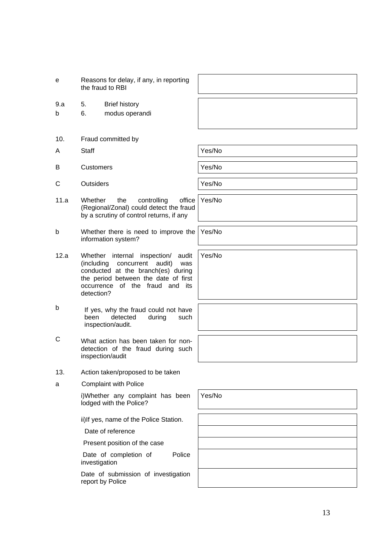- 9.a 5. Brief history
- b 6. modus operandi
- 10. Fraud committed by
- A Staff  $\vert$  Yes/No
- B Customers **Participal Strutter Customers** Pres/No
- C Outsiders **Yes/No**
- 11.a Whether the controlling office (Regional/Zonal) could detect the fraud by a scrutiny of control returns, if any
- b Whether there is need to improve the information system?
- 12.a Whether internal inspection/ audit (including concurrent audit) was conducted at the branch(es) during the period between the date of first occurrence of the fraud and its detection?
- b If yes, why the fraud could not have been detected during such inspection/audit.
- C What action has been taken for nondetection of the fraud during such inspection/audit
- 13. Action taken/proposed to be taken
- a Complaint with Police

i)Whether any complaint has been lodged with the Police?

ii)If yes, name of the Police Station.

Date of reference

Present position of the case

Date of completion of Police investigation

Date of submission of investigation report by Police

Yes/No

Yes/No

Yes/No

Yes/No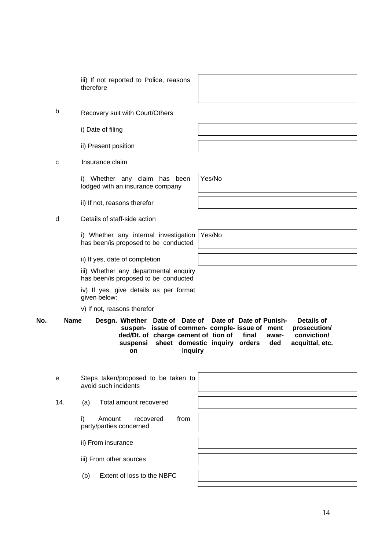iii) If not reported to Police, reasons therefore

b Recovery suit with Court/Others

i) Date of filing

ii) Present position

c Insurance claim

i) Whether any claim has been lodged with an insurance company

ii) If not, reasons therefor

d Details of staff-side action

i) Whether any internal investigation has been/is proposed to be conducted

ii) If yes, date of completion

iii) Whether any departmental enquiry has been/is proposed to be conducted

iv) If yes, give details as per format given below:

v) If not, reasons therefor

**No. Name Desgn. Whether Date of Date of Date of Date of Punishsuspen-issue of commen-comple-issue of ment ded/Dt. of charge cement of tion of suspensi sheet domestic inquiry orders on inquiry final awarded Details of prosecution/ conviction/ acquittal, etc.**

| e   | Steps taken/proposed to be taken to<br>avoid such incidents  |  |
|-----|--------------------------------------------------------------|--|
| 14. | Total amount recovered<br>(a)                                |  |
|     | i)<br>recovered<br>Amount<br>from<br>party/parties concerned |  |
|     | ii) From insurance                                           |  |
|     | iii) From other sources                                      |  |
|     | Extent of loss to the NBFC<br>(b)                            |  |
|     |                                                              |  |

Yes/No

Yes/No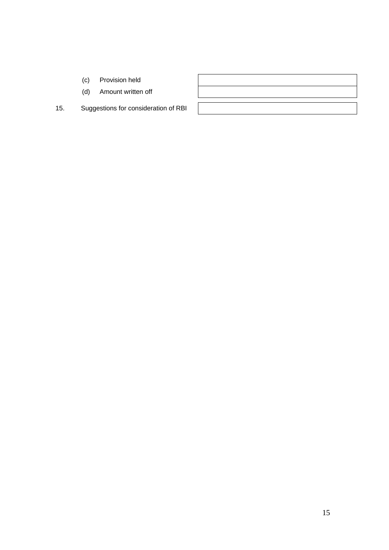- (c) Provision held
- (d) Amount written off
- 15. Suggestions for consideration of RBI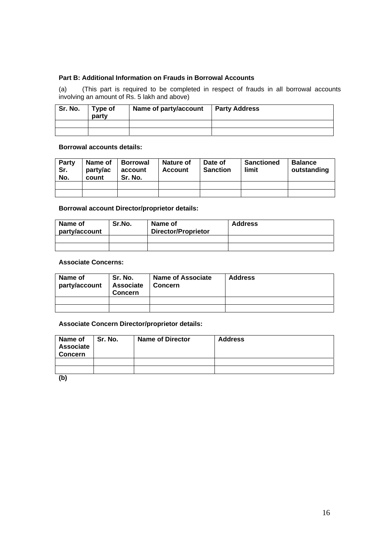### **Part B: Additional Information on Frauds in Borrowal Accounts**

(a) (This part is required to be completed in respect of frauds in all borrowal accounts involving an amount of Rs. 5 lakh and above)

| Sr. No. | Type of<br>party | Name of party/account | <b>Party Address</b> |
|---------|------------------|-----------------------|----------------------|
|         |                  |                       |                      |
|         |                  |                       |                      |

# **Borrowal accounts details:**

| Party<br>Sr.<br>No. | Name of<br>party/ac<br>count | <b>Borrowal</b><br>account<br>Sr. No. | Nature of<br><b>Account</b> | Date of<br><b>Sanction</b> | <b>Sanctioned</b><br>limit | <b>Balance</b><br>outstanding |
|---------------------|------------------------------|---------------------------------------|-----------------------------|----------------------------|----------------------------|-------------------------------|
|                     |                              |                                       |                             |                            |                            |                               |
|                     |                              |                                       |                             |                            |                            |                               |

#### **Borrowal account Director/proprietor details:**

| Name of<br>party/account | Sr.No. | Name of<br><b>Director/Proprietor</b> | <b>Address</b> |
|--------------------------|--------|---------------------------------------|----------------|
|                          |        |                                       |                |
|                          |        |                                       |                |

#### **Associate Concerns:**

| Name of<br>party/account | Sr. No.<br>Associate<br><b>Concern</b> | <b>Name of Associate</b><br>∣ Concern | <b>Address</b> |
|--------------------------|----------------------------------------|---------------------------------------|----------------|
|                          |                                        |                                       |                |
|                          |                                        |                                       |                |

#### **Associate Concern Director/proprietor details:**

| Name of<br><b>Associate</b><br>Concern | Sr. No. | <b>Name of Director</b> | <b>Address</b> |
|----------------------------------------|---------|-------------------------|----------------|
|                                        |         |                         |                |
|                                        |         |                         |                |
| (b)                                    |         |                         |                |